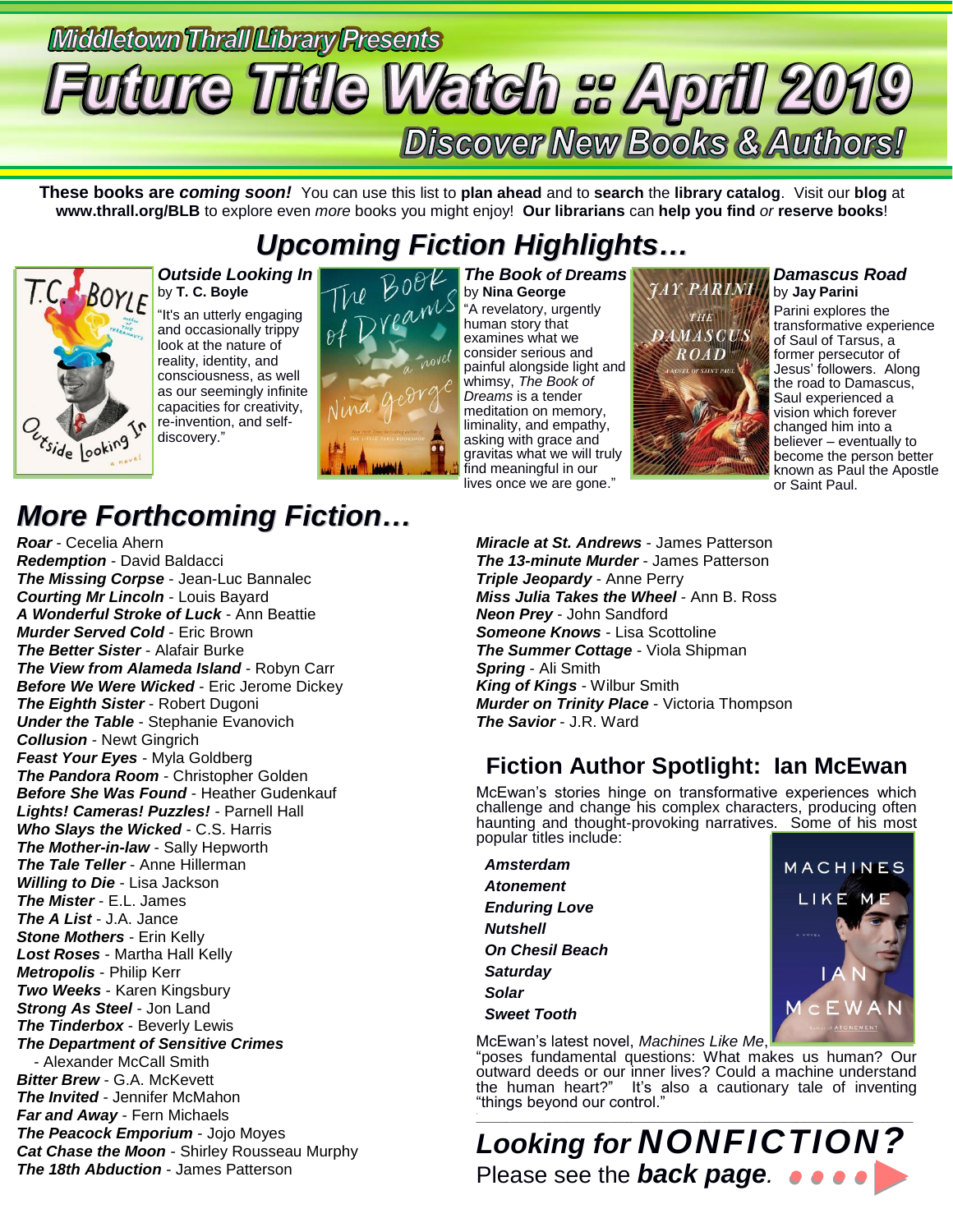# Middletown Thrall Library Presents **uture Title Watch :: April 2019 Discover New Books & Authors!**

**These books are** *coming soon!* You can use this list to **plan ahead** and to **search** the **library catalog**. Visit our **blog** at **www.thrall.org/BLB** to explore even *more* books you might enjoy! **Our librarians** can **help you find** *or* **reserve books**!

# *Upcoming Fiction Highlights…*



### *Outside Looking In* by **T. C. Boyle**

"It's an utterly engaging and occasionally trippy look at the nature of reality, identity, and consciousness, as well as our seemingly infinite capacities for creativity, re-invention, and selfdiscovery."



*The Book of Dreams* by **Nina George** "A revelatory, urgently human story that examines what we consider serious and painful alongside light and whimsy, *The Book of Dreams* is a tender meditation on memory, liminality, and empathy, asking with grace and gravitas what we will truly find meaningful in our lives once we are gone."



### *Damascus Road*

by **Jay Parini** Parini explores the transformative experience of Saul of Tarsus, a former persecutor of Jesus' followers. Along the road to Damascus, Saul experienced a vision which forever changed him into a believer – eventually to become the person better known as Paul the Apostle or Saint Paul.

# *More Forthcoming Fiction…*

*Roar* - Cecelia Ahern *Redemption* - David Baldacci *The Missing Corpse* - Jean-Luc Bannalec *Courting Mr Lincoln* - Louis Bayard *A Wonderful Stroke of Luck* - Ann Beattie *Murder Served Cold* - Eric Brown *The Better Sister* - Alafair Burke *The View from Alameda Island* - Robyn Carr *Before We Were Wicked* - Eric Jerome Dickey *The Eighth Sister* - Robert Dugoni *Under the Table* - Stephanie Evanovich *Collusion* - Newt Gingrich *Feast Your Eyes* - Myla Goldberg *The Pandora Room* - Christopher Golden *Before She Was Found* - Heather Gudenkauf *Lights! Cameras! Puzzles!* - Parnell Hall *Who Slays the Wicked* - C.S. Harris *The Mother-in-law* - Sally Hepworth *The Tale Teller* - Anne Hillerman *Willing to Die* - Lisa Jackson *The Mister* - E.L. James *The A List* - J.A. Jance *Stone Mothers* - Erin Kelly *Lost Roses* - Martha Hall Kelly *Metropolis* - Philip Kerr *Two Weeks* - Karen Kingsbury *Strong As Steel* - Jon Land *The Tinderbox* - Beverly Lewis *The Department of Sensitive Crimes* - Alexander McCall Smith *Bitter Brew* - G.A. McKevett *The Invited* - Jennifer McMahon *Far and Away* - Fern Michaels *The Peacock Emporium* - Jojo Moyes *Cat Chase the Moon* - Shirley Rousseau Murphy *The 18th Abduction* - James Patterson

*Miracle at St. Andrews* - James Patterson *The 13-minute Murder* - James Patterson *Triple Jeopardy - Anne Perry Miss Julia Takes the Wheel* - Ann B. Ross *Neon Prey* - John Sandford *Someone Knows* - Lisa Scottoline *The Summer Cottage* - Viola Shipman *Spring* - Ali Smith *King of Kings* - Wilbur Smith *Murder on Trinity Place* - Victoria Thompson *The Savior* - J.R. Ward

# **Fiction Author Spotlight: Ian McEwan**

McEwan's stories hinge on transformative experiences which challenge and change his complex characters, producing often haunting and thought-provoking narratives. Some of his most popular titles include:

| Amsterdam              | <b>MACHINES</b>         |
|------------------------|-------------------------|
| <b>Atonement</b>       |                         |
| <b>Enduring Love</b>   | LIKE ME                 |
| <b>Nutshell</b>        | <b>ACADEMIA</b>         |
| <b>On Chesil Beach</b> |                         |
| <b>Saturday</b>        | L                       |
| <b>Solar</b>           |                         |
| <b>Sweet Tooth</b>     | MCEWAN                  |
|                        | <b>AUTHOR ATONEMENT</b> |

McEwan's latest novel, *Machines Like Me*,

"poses fundamental questions: What makes us human? Our outward deeds or our inner lives? Could a machine understand the human heart?" It's also a cautionary tale of inventing "things beyond our control."

 $\mathcal{L}_\text{max}$  , and the set of the set of the set of the set of the set of the set of the set of the set of the set of the set of the set of the set of the set of the set of the set of the set of the set of the set of the *Looking for NONFICTION?* Please see the *back page.*